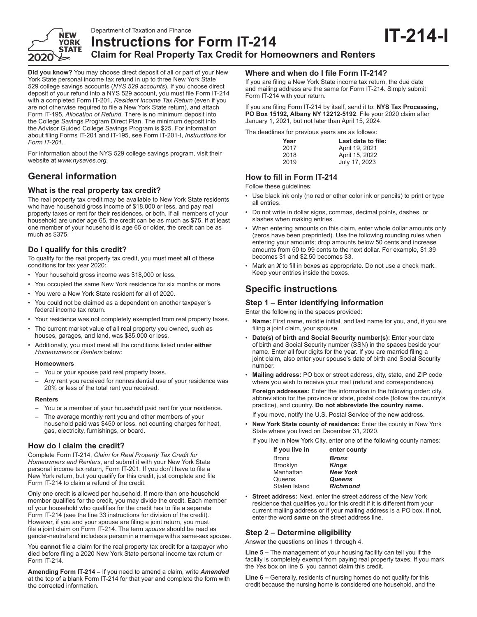

Department of Taxation and Finance **Instructions for Form IT-214 Claim for Real Property Tax Credit for Homeowners and Renters**

**Did you know?** You may choose direct deposit of all or part of your New York State personal income tax refund in up to three New York State 529 college savings accounts (*NYS 529 accounts*). If you choose direct deposit of your refund into a NYS 529 account, you must file Form IT-214 with a completed Form IT-201, *Resident Income Tax Return* (even if you are not otherwise required to file a New York State return), and attach Form IT-195, *Allocation of Refund*. There is no minimum deposit into the College Savings Program Direct Plan. The minimum deposit into the Advisor Guided College Savings Program is \$25. For information about filing Forms IT-201 and IT-195, see Form IT-201-I, *Instructions for Form IT-201*.

For information about the NYS 529 college savings program, visit their website at *www.nysaves.org*.

# **General information**

## **What is the real property tax credit?**

The real property tax credit may be available to New York State residents who have household gross income of \$18,000 or less, and pay real property taxes or rent for their residences, or both. If all members of your household are under age 65, the credit can be as much as \$75. If at least one member of your household is age 65 or older, the credit can be as much as \$375.

# **Do I qualify for this credit?**

To qualify for the real property tax credit, you must meet **all** of these conditions for tax year 2020:

- Your household gross income was \$18,000 or less.
- You occupied the same New York residence for six months or more.
- You were a New York State resident for all of 2020.
- You could not be claimed as a dependent on another taxpayer's
- federal income tax return. • Your residence was not completely exempted from real property taxes.
- The current market value of all real property you owned, such as houses, garages, and land, was \$85,000 or less.
- Additionally, you must meet all the conditions listed under **either** *Homeowners* or *Renters* below:

#### **Homeowners**

- You or your spouse paid real property taxes.
- Any rent you received for nonresidential use of your residence was 20% or less of the total rent you received.

#### **Renters**

- You or a member of your household paid rent for your residence.
- The average monthly rent you and other members of your household paid was \$450 or less, not counting charges for heat, gas, electricity, furnishings, or board.

## **How do I claim the credit?**

Complete Form IT-214, *Claim for Real Property Tax Credit for Homeowners and Renters*, and submit it with your New York State personal income tax return, Form IT-201. If you don't have to file a New York return, but you qualify for this credit, just complete and file Form IT-214 to claim a refund of the credit.

Only one credit is allowed per household. If more than one household member qualifies for the credit, you may divide the credit. Each member of your household who qualifies for the credit has to file a separate Form IT-214 (see the line 33 instructions for division of the credit). However, if you and your spouse are filing a joint return, you must file a joint claim on Form IT-214. The term *spouse* should be read as gender-neutral and includes a person in a marriage with a same-sex spouse.

You **cannot** file a claim for the real property tax credit for a taxpayer who died before filing a 2020 New York State personal income tax return or Form IT-214.

**Amending Form IT-214 –** If you need to amend a claim, write *Amended* at the top of a blank Form IT-214 for that year and complete the form with the corrected information.

# **Where and when do I file Form IT-214?**

If you are filing a New York State income tax return, the due date and mailing address are the same for Form IT-214. Simply submit Form IT-214 with your return.

If you are filing Form IT-214 by itself, send it to: **NYS Tax Processing, PO Box 15192, Albany NY 12212-5192**. File your 2020 claim after January 1, 2021, but not later than April 15, 2024.

The deadlines for previous years are as follows:

| Last date to file: |
|--------------------|
| April 19, 2021     |
| April 15, 2022     |
| July 17, 2023      |

**IT-214-I**

# **How to fill in Form IT-214**

Follow these guidelines:

- Use black ink only (no red or other color ink or pencils) to print or type all entries.
- Do not write in dollar signs, commas, decimal points, dashes, or slashes when making entries.
- When entering amounts on this claim, enter whole dollar amounts only (zeros have been preprinted). Use the following rounding rules when entering your amounts; drop amounts below 50 cents and increase amounts from 50 to 99 cents to the next dollar. For example, \$1.39 becomes \$1 and \$2.50 becomes \$3.
- Mark an *X* to fill in boxes as appropriate. Do not use a check mark. Keep your entries inside the boxes.

# **Specific instructions**

## **Step 1 – Enter identifying information**

Enter the following in the spaces provided:

- **Name:** First name, middle initial, and last name for you, and, if you are filing a joint claim, your spouse.
- **Date(s) of birth and Social Security number(s):** Enter your date of birth and Social Security number (SSN) in the spaces beside your name. Enter all four digits for the year. If you are married filing a joint claim, also enter your spouse's date of birth and Social Security number.
- **Mailing address:** PO box or street address, city, state, and ZIP code where you wish to receive your mail (refund and correspondence).

**Foreign addresses:** Enter the information in the following order: city, abbreviation for the province or state, postal code (follow the country's practice), and country. **Do not abbreviate the country name.** 

If you move, notify the U.S. Postal Service of the new address.

• **New York State county of residence:** Enter the county in New York State where you lived on December 31, 2020.

If you live in New York City, enter one of the following county names:

| If you live in | enter county    |
|----------------|-----------------|
| Bronx          | <b>Bronx</b>    |
| Brooklyn       | <b>Kings</b>    |
| Manhattan      | <b>New York</b> |
| Queens         | <b>Queens</b>   |
| Staten Island  | <b>Richmond</b> |
|                |                 |

• **Street address:** Next, enter the street address of the New York residence that qualifies you for this credit if it is different from your current mailing address or if your mailing address is a PO box. If not, enter the word *same* on the street address line.

# **Step 2 – Determine eligibility**

Answer the questions on lines 1 through 4.

**Line 5 –** The management of your housing facility can tell you if the facility is completely exempt from paying real property taxes. If you mark the *Yes* box on line 5, you cannot claim this credit.

**Line 6 –** Generally, residents of nursing homes do not qualify for this credit because the nursing home is considered one household, and the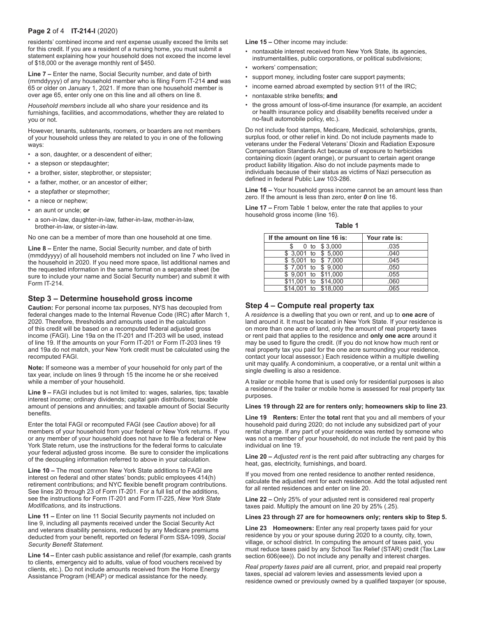### **Page 2** of 4 **IT-214-I** (2020)

residents' combined income and rent expense usually exceed the limits set for this credit. If you are a resident of a nursing home, you must submit a statement explaining how your household does not exceed the income level of \$18,000 or the average monthly rent of \$450.

**Line 7 –** Enter the name, Social Security number, and date of birth (mmddyyyy) of any household member who is filing Form IT-214 **and** was 65 or older on January 1, 2021. If more than one household member is over age 65, enter only one on this line and all others on line 8.

*Household members* include all who share your residence and its furnishings, facilities, and accommodations, whether they are related to you or not.

However, tenants, subtenants, roomers, or boarders are not members of your household unless they are related to you in one of the following ways:

- a son, daughter, or a descendent of either;
- a stepson or stepdaughter;
- a brother, sister, stepbrother, or stepsister;
- a father, mother, or an ancestor of either;
- a stepfather or stepmother;
- a niece or nephew;
- an aunt or uncle; **or**
- a son-in-law, daughter-in-law, father-in-law, mother-in-law, brother-in-law, or sister-in-law.

No one can be a member of more than one household at one time.

**Line 8 –** Enter the name, Social Security number, and date of birth (mmddyyyy) of all household members not included on line 7 who lived in the household in 2020. If you need more space, list additional names and the requested information in the same format on a separate sheet (be sure to include your name and Social Security number) and submit it with Form IT-214.

## **Step 3 – Determine household gross income**

**Caution:** For personal income tax purposes, NYS has decoupled from federal changes made to the Internal Revenue Code (IRC) after March 1, 2020. Therefore, thresholds and amounts used in the calculation of this credit will be based on a recomputed federal adjusted gross income (FAGI). Line 19a on the IT-201 and IT-203 will be used, instead of line 19. If the amounts on your Form IT-201 or Form IT-203 lines 19 and 19a do not match, your New York credit must be calculated using the recomputed FAGI.

**Note:** If someone was a member of your household for only part of the tax year, include on lines 9 through 15 the income he or she received while a member of your household.

**Line 9 –** FAGI includes but is not limited to: wages, salaries, tips; taxable interest income; ordinary dividends; capital gain distributions; taxable amount of pensions and annuities; and taxable amount of Social Security benefits.

Enter the total FAGI or recomputed FAGI (see *Caution* above) for all members of your household from your federal or New York returns. If you or any member of your household does not have to file a federal or New York State return, use the instructions for the federal forms to calculate your federal adjusted gross income. Be sure to consider the implications of the decoupling information referred to above in your calculation.

**Line 10 –** The most common New York State additions to FAGI are interest on federal and other states' bonds; public employees 414(h) retirement contributions; and NYC flexible benefit program contributions. See lines 20 through 23 of Form IT-201. For a full list of the additions, see the instructions for Form IT-201 and Form IT-225, *New York State Modifications,* and its instructions.

**Line 11 –** Enter on line 11 Social Security payments not included on line 9, including all payments received under the Social Security Act and veterans disability pensions, reduced by any Medicare premiums deducted from your benefit, reported on federal Form SSA-1099, *Social Security Benefit Statement.*

**Line 14 –** Enter cash public assistance and relief (for example, cash grants to clients, emergency aid to adults, value of food vouchers received by clients, etc.). Do not include amounts received from the Home Energy Assistance Program (HEAP) or medical assistance for the needy.

**Line 15 –** Other income may include:

- nontaxable interest received from New York State, its agencies, instrumentalities, public corporations, or political subdivisions;
- workers' compensation;
- support money, including foster care support payments;
- income earned abroad exempted by section 911 of the IRC;
- nontaxable strike benefits; **and**
- the gross amount of loss-of-time insurance (for example, an accident or health insurance policy and disability benefits received under a no-fault automobile policy, etc.).

Do not include food stamps, Medicare, Medicaid, scholarships, grants, surplus food, or other relief in kind. Do not include payments made to veterans under the Federal Veterans' Dioxin and Radiation Exposure Compensation Standards Act because of exposure to herbicides containing dioxin (agent orange), or pursuant to certain agent orange product liability litigation. Also do not include payments made to individuals because of their status as victims of Nazi persecution as defined in federal Public Law 103-286.

**Line 16 –** Your household gross income cannot be an amount less than zero. If the amount is less than zero, enter *0* on line 16.

**Line 17 –** From Table 1 below, enter the rate that applies to your household gross income (line 16).

| If the amount on line 16 is: | Your rate is: |
|------------------------------|---------------|
| 0 to \$3,000                 | .035          |
| \$ 3,001 to \$ 5,000         | .040          |
| $$5,001$ to $$7,000$         | .045          |
| \$7,001 to \$9,000           | .050          |
| \$ 9,001 to \$11,000         | .055          |
| \$11,001 to \$14,000         | .060          |
| \$14,001 to \$18,000         | .065          |

**Table 1**

## **Step 4 – Compute real property tax**

A *residence* is a dwelling that you own or rent, and up to **one acre** of land around it. It must be located in New York State. If your residence is on more than one acre of land, only the amount of real property taxes or rent paid that applies to the residence and **only one acre** around it may be used to figure the credit. (If you do not know how much rent or real property tax you paid for the one acre surrounding your residence, contact your local assessor.) Each residence within a multiple dwelling unit may qualify. A condominium, a cooperative, or a rental unit within a single dwelling is also a residence.

A trailer or mobile home that is used only for residential purposes is also a residence if the trailer or mobile home is assessed for real property tax purposes.

**Lines 19 through 22 are for renters only; homeowners skip to line 23**.

**Line 19 Renters:** Enter the **total** rent that you and all members of your household paid during 2020; do not include any subsidized part of your rental charge. If any part of your residence was rented by someone who was not a member of your household, do not include the rent paid by this individual on line 19.

**Line 20 –** *Adjusted rent* is the rent paid after subtracting any charges for heat, gas, electricity, furnishings, and board.

If you moved from one rented residence to another rented residence, calculate the adjusted rent for each residence. Add the total adjusted rent for all rented residences and enter on line 20.

**Line 22 –** Only 25% of your adjusted rent is considered real property taxes paid. Multiply the amount on line 20 by 25% (.25).

#### **Lines 23 through 27 are for homeowners only; renters skip to Step 5.**

**Line 23 Homeowners:** Enter any real property taxes paid for your residence by you or your spouse during 2020 to a county, city, town, village, or school district. In computing the amount of taxes paid, you must reduce taxes paid by any School Tax Relief (STAR) credit (Tax Law section 606(eee)). Do not include any penalty and interest charges.

*Real property taxes paid* are all current, prior, and prepaid real property taxes, special ad valorem levies and assessments levied upon a residence owned or previously owned by a qualified taxpayer (or spouse,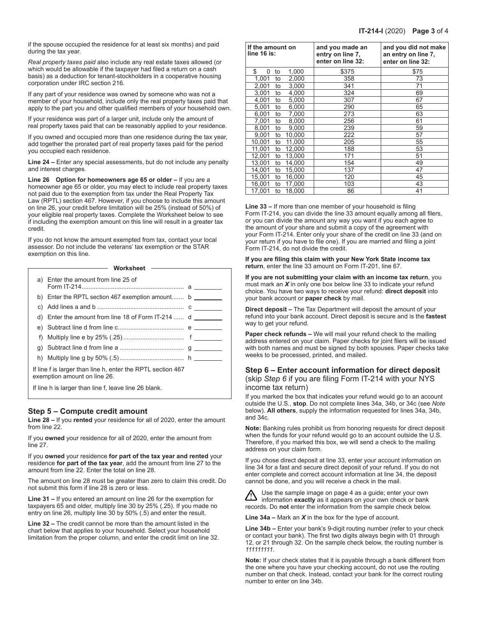if the spouse occupied the residence for at least six months) and paid during the tax year.

*Real property taxes paid* also include any real estate taxes allowed (or which would be allowable if the taxpayer had filed a return on a cash basis) as a deduction for tenant-stockholders in a cooperative housing corporation under IRC section 216.

If any part of your residence was owned by someone who was not a member of your household, include only the real property taxes paid that apply to the part you and other qualified members of your household own.

If your residence was part of a larger unit, include only the amount of real property taxes paid that can be reasonably applied to your residence.

If you owned and occupied more than one residence during the tax year, add together the prorated part of real property taxes paid for the period you occupied each residence.

**Line 24 –** Enter any special assessments, but do not include any penalty and interest charges.

**Line 26 Option for homeowners age 65 or older –** If you are a homeowner age 65 or older, you may elect to include real property taxes not paid due to the exemption from tax under the Real Property Tax Law (RPTL) section 467. However, if you choose to include this amount on line 26, your credit before limitation will be 25% (instead of 50%) of your eligible real property taxes. Complete the Worksheet below to see if including the exemption amount on this line will result in a greater tax credit.

If you do not know the amount exempted from tax, contact your local assessor. Do not include the veterans' tax exemption or the STAR exemption on this line.

#### **Worksheet**

|    | a) Enter the amount from line 25 of                                                         |  |
|----|---------------------------------------------------------------------------------------------|--|
|    | b) Enter the RPTL section 467 exemption amount $b$                                          |  |
|    |                                                                                             |  |
|    | d) Enter the amount from line 18 of Form IT-214 $d \_$                                      |  |
|    |                                                                                             |  |
| f) |                                                                                             |  |
|    |                                                                                             |  |
|    |                                                                                             |  |
|    | If line f is larger than line h, enter the RPTL section 467<br>exemption amount on line 26. |  |

If line h is larger than line f, leave line 26 blank.

## **Step 5 – Compute credit amount**

**Line 28 –** If you **rented** your residence for all of 2020, enter the amount from line 22.

If you **owned** your residence for all of 2020, enter the amount from line 27.

If you **owned** your residence **for part of the tax year and rented** your residence **for part of the tax year**, add the amount from line 27 to the amount from line 22. Enter the total on line 28.

The amount on line 28 must be greater than zero to claim this credit. Do not submit this form if line 28 is zero or less.

**Line 31 –** If you entered an amount on line 26 for the exemption for taxpayers 65 and older, multiply line 30 by 25% (.25). If you made no entry on line 26, multiply line 30 by 50% (.5) and enter the result.

**Line 32 –** The credit cannot be more than the amount listed in the chart below that applies to your household. Select your household limitation from the proper column, and enter the credit limit on line 32.

| If the amount on<br>line 16 is: | and you made an<br>entry on line 7,<br>enter on line 32: | and you did not make<br>an entry on line 7,<br>enter on line 32: |
|---------------------------------|----------------------------------------------------------|------------------------------------------------------------------|
| \$<br>1,000<br>to<br>0          | \$375                                                    | \$75                                                             |
| 1,001<br>2,000<br>to            | 358                                                      | 73                                                               |
| 2,001<br>3,000<br>to            | 341                                                      | 71                                                               |
| 3,001<br>4,000<br>to            | 324                                                      | 69                                                               |
| 4.001<br>5,000<br>to            | 307                                                      | 67                                                               |
| 5,001<br>6,000<br>to            | 290                                                      | 65                                                               |
| 6,001<br>7,000<br>to            | 273                                                      | 63                                                               |
| 7,001<br>8,000<br>to            | 256                                                      | 61                                                               |
| 8.001<br>9,000<br>to            | 239                                                      | 59                                                               |
| 9,001<br>10,000<br>to           | 222                                                      | 57                                                               |
| 10,001<br>11,000<br>to          | 205                                                      | 55                                                               |
| 11,001<br>12,000<br>to          | 188                                                      | 53                                                               |
| 12,001<br>13,000<br>to          | 171                                                      | 51                                                               |
| 13,001<br>14,000<br>to          | 154                                                      | 49                                                               |
| 14,001<br>15,000<br>to          | 137                                                      | 47                                                               |
| 15,001<br>16,000<br>to          | 120                                                      | 45                                                               |
| 16,001<br>17,000<br>to          | 103                                                      | 43                                                               |
| 17,001<br>18,000<br>to          | 86                                                       | 41                                                               |

**Line 33 –** If more than one member of your household is filing Form IT-214, you can divide the line 33 amount equally among all filers, or you can divide the amount any way you want if you each agree to the amount of your share and submit a copy of the agreement with your Form IT-214. Enter only your share of the credit on line 33 (and on your return if you have to file one). If you are married and filing a joint Form IT-214, do not divide the credit.

**If you are filing this claim with your New York State income tax return**, enter the line 33 amount on Form IT-201, line 67.

**If you are not submitting your claim with an income tax return**, you must mark an *X* in only one box below line 33 to indicate your refund choice. You have two ways to receive your refund: **direct deposit** into your bank account or **paper check** by mail.

**Direct deposit –** The Tax Department will deposit the amount of your refund into your bank account. Direct deposit is secure and is the **fastest** way to get your refund.

**Paper check refunds –** We will mail your refund check to the mailing address entered on your claim. Paper checks for joint filers will be issued with both names and must be signed by both spouses. Paper checks take weeks to be processed, printed, and mailed.

# **Step 6 – Enter account information for direct deposit**

(skip *Step 6* if you are filing Form IT-214 with your NYS income tax return)

If you marked the box that indicates your refund would go to an account outside the U.S., **stop**. Do not complete lines 34a, 34b, or 34c (see *Note* below). **All others**, supply the information requested for lines 34a, 34b, and 34c.

**Note:** Banking rules prohibit us from honoring requests for direct deposit when the funds for your refund would go to an account outside the U.S. Therefore, if you marked this box, we will send a check to the mailing address on your claim form.

If you chose direct deposit at line 33, enter your account information on line 34 for a fast and secure direct deposit of your refund. If you do not enter complete and correct account information at line 34, the deposit cannot be done, and you will receive a check in the mail.

Use the sample image on page 4 as a guide; enter your own information **exactly** as it appears on your own check or bank records. Do **not** enter the information from the sample check below.

**Line 34a –** Mark an *X* in the box for the type of account.

**Line 34b –** Enter your bank's 9‑digit routing number (refer to your check or contact your bank). The first two digits always begin with 01 through 12, or 21 through 32. On the sample check below, the routing number is *111111111*.

**Note:** If your check states that it is payable through a bank different from the one where you have your checking account, do not use the routing number on that check. Instead, contact your bank for the correct routing number to enter on line 34b.